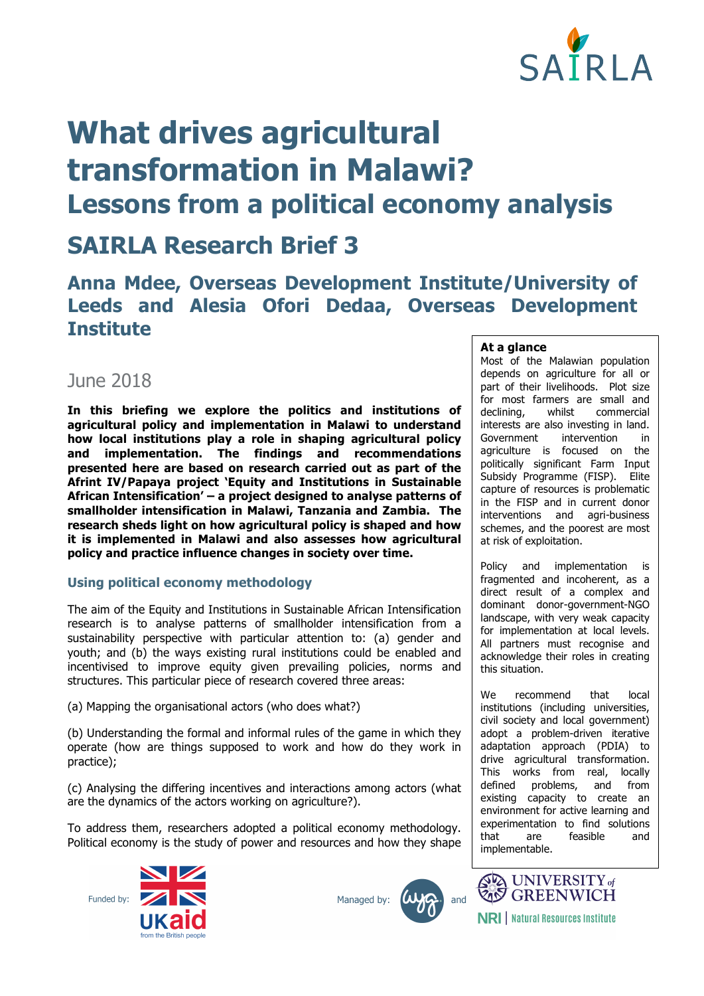

# **What drives agricultural transformation in Malawi? Lessons from a political economy analysis**

# **SAIRLA Research Brief 3**

## **Anna Mdee, Overseas Development Institute/University of Leeds and Alesia Ofori Dedaa, Overseas Development Institute**

### June 2018

**In this briefing we explore the politics and institutions of agricultural policy and implementation in Malawi to understand how local institutions play a role in shaping agricultural policy and implementation. The findings and recommendations presented here are based on research carried out as part of the Afrint IV/Papaya project 'Equity and Institutions in Sustainable African Intensification' – a project designed to analyse patterns of smallholder intensification in Malawi, Tanzania and Zambia. The research sheds light on how agricultural policy is shaped and how it is implemented in Malawi and also assesses how agricultural policy and practice influence changes in society over time.** 

#### **Using political economy methodology**

The aim of the Equity and Institutions in Sustainable African Intensification research is to analyse patterns of smallholder intensification from a sustainability perspective with particular attention to: (a) gender and youth; and (b) the ways existing rural institutions could be enabled and incentivised to improve equity given prevailing policies, norms and structures. This particular piece of research covered three areas:

(a) Mapping the organisational actors (who does what?)

(b) Understanding the formal and informal rules of the game in which they operate (how are things supposed to work and how do they work in practice);

(c) Analysing the differing incentives and interactions among actors (what are the dynamics of the actors working on agriculture?).

To address them, researchers adopted a political economy methodology. Political economy is the study of power and resources and how they shape







#### **At a glance**

Most of the Malawian population depends on agriculture for all or part of their livelihoods. Plot size for most farmers are small and declining, whilst commercial interests are also investing in land. Government intervention in agriculture is focused on the politically significant Farm Input Subsidy Programme (FISP). Elite capture of resources is problematic in the FISP and in current donor interventions and agri-business schemes, and the poorest are most at risk of exploitation.

Policy and implementation is fragmented and incoherent, as a direct result of a complex and dominant donor-government-NGO landscape, with very weak capacity for implementation at local levels. All partners must recognise and acknowledge their roles in creating this situation.

We recommend that local institutions (including universities, civil society and local government) adopt a problem-driven iterative adaptation approach (PDIA) to drive agricultural transformation. This works from real, locally<br>defined problems, and from defined problems, and existing capacity to create an environment for active learning and experimentation to find solutions that are feasible and implementable.



**NRI** | Natural Resources Institute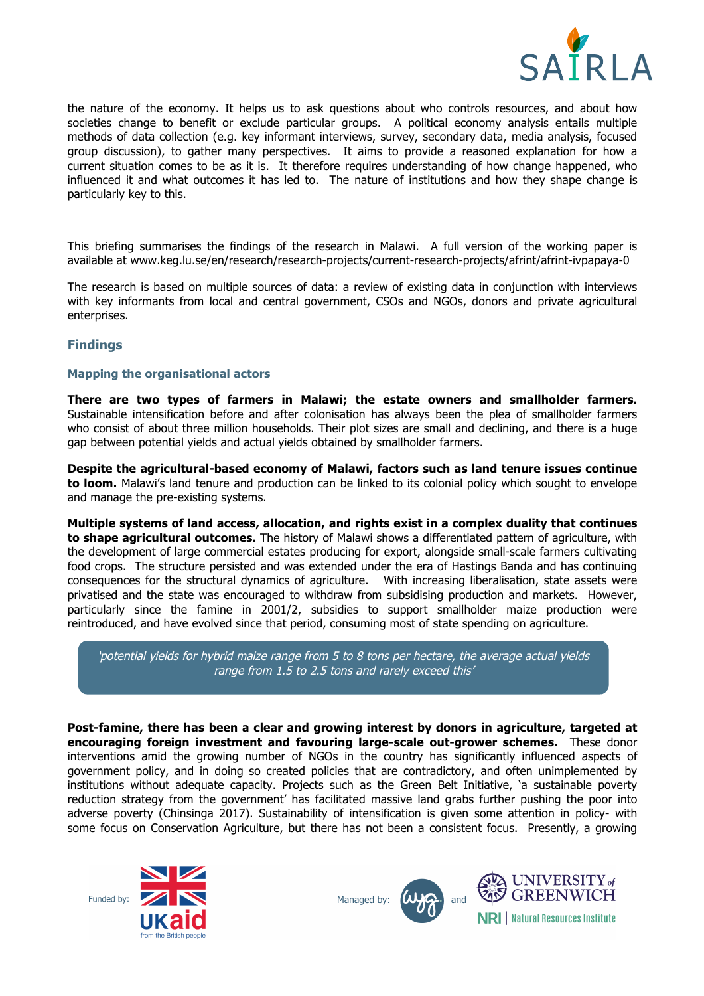

the nature of the economy. It helps us to ask questions about who controls resources, and about how societies change to benefit or exclude particular groups. A political economy analysis entails multiple methods of data collection (e.g. key informant interviews, survey, secondary data, media analysis, focused group discussion), to gather many perspectives. It aims to provide a reasoned explanation for how a current situation comes to be as it is. It therefore requires understanding of how change happened, who influenced it and what outcomes it has led to. The nature of institutions and how they shape change is particularly key to this.

This briefing summarises the findings of the research in Malawi. A full version of the working paper is available at www.keg.lu.se/en/research/research-projects/current-research-projects/afrint/afrint-ivpapaya-0

The research is based on multiple sources of data: a review of existing data in conjunction with interviews with key informants from local and central government, CSOs and NGOs, donors and private agricultural enterprises.

#### **Findings**

#### **Mapping the organisational actors**

**There are two types of farmers in Malawi; the estate owners and smallholder farmers.** Sustainable intensification before and after colonisation has always been the plea of smallholder farmers who consist of about three million households. Their plot sizes are small and declining, and there is a huge gap between potential yields and actual yields obtained by smallholder farmers.

**Despite the agricultural-based economy of Malawi, factors such as land tenure issues continue to loom.** Malawi's land tenure and production can be linked to its colonial policy which sought to envelope and manage the pre-existing systems.

**Multiple systems of land access, allocation, and rights exist in a complex duality that continues to shape agricultural outcomes.** The history of Malawi shows a differentiated pattern of agriculture, with the development of large commercial estates producing for export, alongside small-scale farmers cultivating food crops. The structure persisted and was extended under the era of Hastings Banda and has continuing consequences for the structural dynamics of agriculture. With increasing liberalisation, state assets were privatised and the state was encouraged to withdraw from subsidising production and markets. However, particularly since the famine in 2001/2, subsidies to support smallholder maize production were reintroduced, and have evolved since that period, consuming most of state spending on agriculture.

'potential yields for hybrid maize range from 5 to 8 tons per hectare, the average actual yields range from 1.5 to 2.5 tons and rarely exceed this'

**Post-famine, there has been a clear and growing interest by donors in agriculture, targeted at encouraging foreign investment and favouring large-scale out-grower schemes.** These donor interventions amid the growing number of NGOs in the country has significantly influenced aspects of government policy, and in doing so created policies that are contradictory, and often unimplemented by institutions without adequate capacity. Projects such as the Green Belt Initiative, 'a sustainable poverty reduction strategy from the government' has facilitated massive land grabs further pushing the poor into adverse poverty (Chinsinga 2017). Sustainability of intensification is given some attention in policy- with some focus on Conservation Agriculture, but there has not been a consistent focus. Presently, a growing



Managed by:



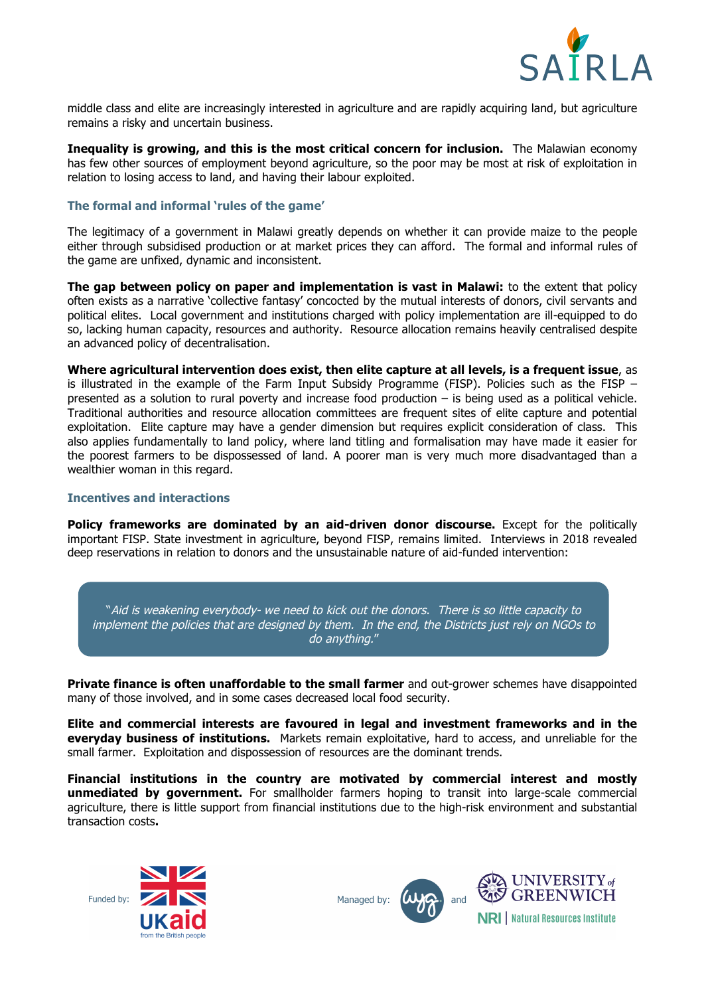

middle class and elite are increasingly interested in agriculture and are rapidly acquiring land, but agriculture remains a risky and uncertain business.

**Inequality is growing, and this is the most critical concern for inclusion.** The Malawian economy has few other sources of employment beyond agriculture, so the poor may be most at risk of exploitation in relation to losing access to land, and having their labour exploited.

#### **The formal and informal 'rules of the game'**

The legitimacy of a government in Malawi greatly depends on whether it can provide maize to the people either through subsidised production or at market prices they can afford. The formal and informal rules of the game are unfixed, dynamic and inconsistent.

**The gap between policy on paper and implementation is vast in Malawi:** to the extent that policy often exists as a narrative 'collective fantasy' concocted by the mutual interests of donors, civil servants and political elites. Local government and institutions charged with policy implementation are ill-equipped to do so, lacking human capacity, resources and authority. Resource allocation remains heavily centralised despite an advanced policy of decentralisation.

**Where agricultural intervention does exist, then elite capture at all levels, is a frequent issue**, as is illustrated in the example of the Farm Input Subsidy Programme (FISP). Policies such as the FISP – presented as a solution to rural poverty and increase food production – is being used as a political vehicle. Traditional authorities and resource allocation committees are frequent sites of elite capture and potential exploitation. Elite capture may have a gender dimension but requires explicit consideration of class. This also applies fundamentally to land policy, where land titling and formalisation may have made it easier for the poorest farmers to be dispossessed of land. A poorer man is very much more disadvantaged than a wealthier woman in this regard.

#### **Incentives and interactions**

**Policy frameworks are dominated by an aid-driven donor discourse.** Except for the politically important FISP. State investment in agriculture, beyond FISP, remains limited. Interviews in 2018 revealed deep reservations in relation to donors and the unsustainable nature of aid-funded intervention:

"Aid is weakening everybody- we need to kick out the donors. There is so little capacity to implement the policies that are designed by them. In the end, the Districts just rely on NGOs to do anything."

**Private finance is often unaffordable to the small farmer** and out-grower schemes have disappointed many of those involved, and in some cases decreased local food security.

**Elite and commercial interests are favoured in legal and investment frameworks and in the everyday business of institutions.** Markets remain exploitative, hard to access, and unreliable for the small farmer. Exploitation and dispossession of resources are the dominant trends.

**Financial institutions in the country are motivated by commercial interest and mostly unmediated by government.** For smallholder farmers hoping to transit into large-scale commercial agriculture, there is little support from financial institutions due to the high-risk environment and substantial transaction costs**.** 







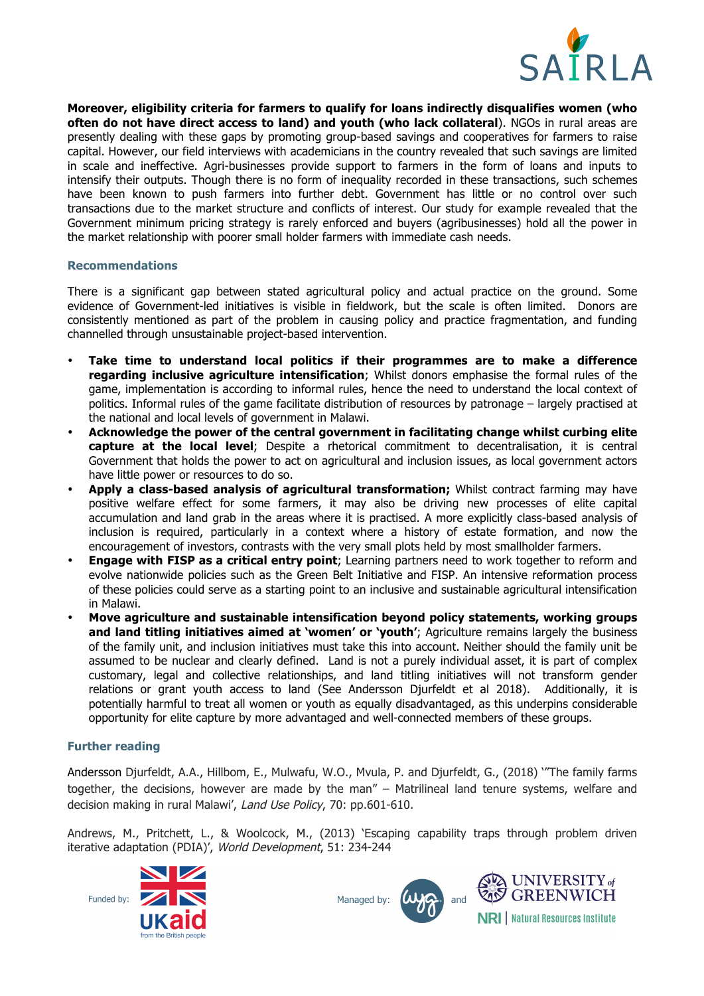

**Moreover, eligibility criteria for farmers to qualify for loans indirectly disqualifies women (who often do not have direct access to land) and youth (who lack collateral**). NGOs in rural areas are presently dealing with these gaps by promoting group-based savings and cooperatives for farmers to raise capital. However, our field interviews with academicians in the country revealed that such savings are limited in scale and ineffective. Agri-businesses provide support to farmers in the form of loans and inputs to intensify their outputs. Though there is no form of inequality recorded in these transactions, such schemes have been known to push farmers into further debt. Government has little or no control over such transactions due to the market structure and conflicts of interest. Our study for example revealed that the Government minimum pricing strategy is rarely enforced and buyers (agribusinesses) hold all the power in the market relationship with poorer small holder farmers with immediate cash needs.

#### **Recommendations**

There is a significant gap between stated agricultural policy and actual practice on the ground. Some evidence of Government-led initiatives is visible in fieldwork, but the scale is often limited. Donors are consistently mentioned as part of the problem in causing policy and practice fragmentation, and funding channelled through unsustainable project-based intervention.

- **Take time to understand local politics if their programmes are to make a difference regarding inclusive agriculture intensification**; Whilst donors emphasise the formal rules of the game, implementation is according to informal rules, hence the need to understand the local context of politics. Informal rules of the game facilitate distribution of resources by patronage – largely practised at the national and local levels of government in Malawi.
- **Acknowledge the power of the central government in facilitating change whilst curbing elite capture at the local level**; Despite a rhetorical commitment to decentralisation, it is central Government that holds the power to act on agricultural and inclusion issues, as local government actors have little power or resources to do so.
- **Apply a class-based analysis of agricultural transformation;** Whilst contract farming may have positive welfare effect for some farmers, it may also be driving new processes of elite capital accumulation and land grab in the areas where it is practised. A more explicitly class-based analysis of inclusion is required, particularly in a context where a history of estate formation, and now the encouragement of investors, contrasts with the very small plots held by most smallholder farmers.
- **Engage with FISP as a critical entry point**; Learning partners need to work together to reform and evolve nationwide policies such as the Green Belt Initiative and FISP. An intensive reformation process of these policies could serve as a starting point to an inclusive and sustainable agricultural intensification in Malawi.
- **Move agriculture and sustainable intensification beyond policy statements, working groups**  and land titling initiatives aimed at 'women' or 'youth'; Agriculture remains largely the business of the family unit, and inclusion initiatives must take this into account. Neither should the family unit be assumed to be nuclear and clearly defined. Land is not a purely individual asset, it is part of complex customary, legal and collective relationships, and land titling initiatives will not transform gender relations or grant youth access to land (See Andersson Djurfeldt et al 2018). Additionally, it is potentially harmful to treat all women or youth as equally disadvantaged, as this underpins considerable opportunity for elite capture by more advantaged and well-connected members of these groups.

#### **Further reading**

Andersson Djurfeldt, A.A., Hillbom, E., Mulwafu, W.O., Mvula, P. and Djurfeldt, G., (2018) '"The family farms together, the decisions, however are made by the man" – Matrilineal land tenure systems, welfare and decision making in rural Malawi', Land Use Policy, 70: pp.601-610.

Andrews, M., Pritchett, L., & Woolcock, M., (2013) 'Escaping capability traps through problem driven iterative adaptation (PDIA)', World Development, 51: 234-244



Managed by: